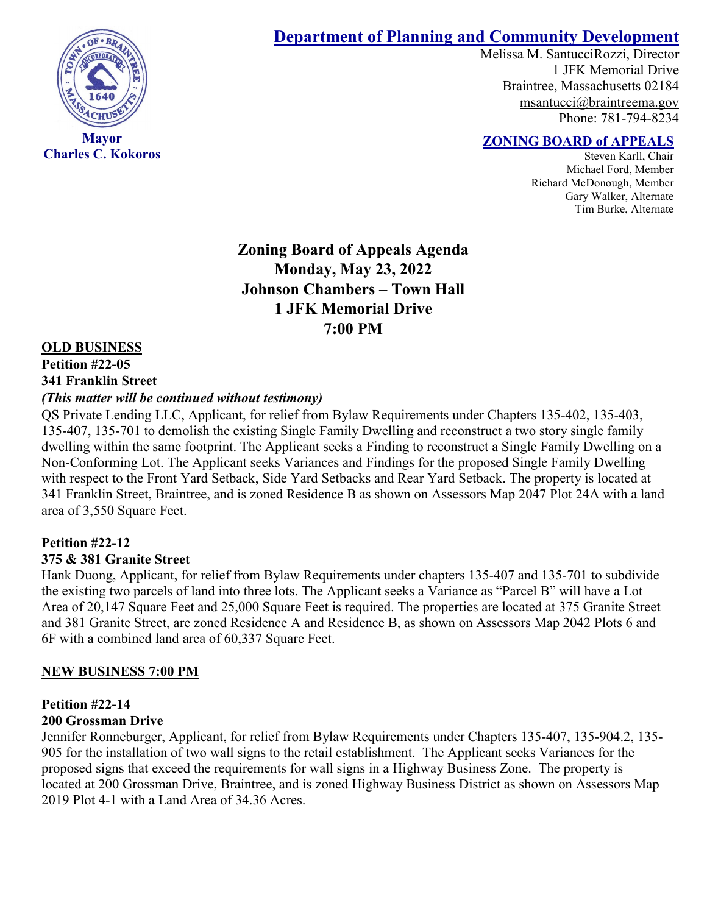

**Charles C. Kokoros**

# **Department of Planning and Community Development**

Melissa M. SantucciRozzi, Director 1 JFK Memorial Drive Braintree, Massachusetts 02184 [msantucci@braintreema.gov](mailto:msantucci@braintreema.gov) Phone: 781-794-8234

## **ZONING BOARD of APPEALS**

Steven Karll, Chair Michael Ford, Member Richard McDonough, Member Gary Walker, Alternate Tim Burke, Alternate

**Zoning Board of Appeals Agenda Monday, May 23, 2022 Johnson Chambers – Town Hall 1 JFK Memorial Drive 7:00 PM**

#### **OLD BUSINESS**

## **Petition #22-05 341 Franklin Street**

#### *(This matter will be continued without testimony)*

QS Private Lending LLC, Applicant, for relief from Bylaw Requirements under Chapters 135-402, 135-403, 135-407, 135-701 to demolish the existing Single Family Dwelling and reconstruct a two story single family dwelling within the same footprint. The Applicant seeks a Finding to reconstruct a Single Family Dwelling on a Non-Conforming Lot. The Applicant seeks Variances and Findings for the proposed Single Family Dwelling with respect to the Front Yard Setback, Side Yard Setbacks and Rear Yard Setback. The property is located at 341 Franklin Street, Braintree, and is zoned Residence B as shown on Assessors Map 2047 Plot 24A with a land area of 3,550 Square Feet.

# **Petition #22-12**

#### **375 & 381 Granite Street**

Hank Duong, Applicant, for relief from Bylaw Requirements under chapters 135-407 and 135-701 to subdivide the existing two parcels of land into three lots. The Applicant seeks a Variance as "Parcel B" will have a Lot Area of 20,147 Square Feet and 25,000 Square Feet is required. The properties are located at 375 Granite Street and 381 Granite Street, are zoned Residence A and Residence B, as shown on Assessors Map 2042 Plots 6 and 6F with a combined land area of 60,337 Square Feet.

#### **NEW BUSINESS 7:00 PM**

#### **Petition #22-14 200 Grossman Drive**

#### Jennifer Ronneburger, Applicant, for relief from Bylaw Requirements under Chapters 135-407, 135-904.2, 135- 905 for the installation of two wall signs to the retail establishment. The Applicant seeks Variances for the proposed signs that exceed the requirements for wall signs in a Highway Business Zone. The property is located at 200 Grossman Drive, Braintree, and is zoned Highway Business District as shown on Assessors Map 2019 Plot 4-1 with a Land Area of 34.36 Acres.